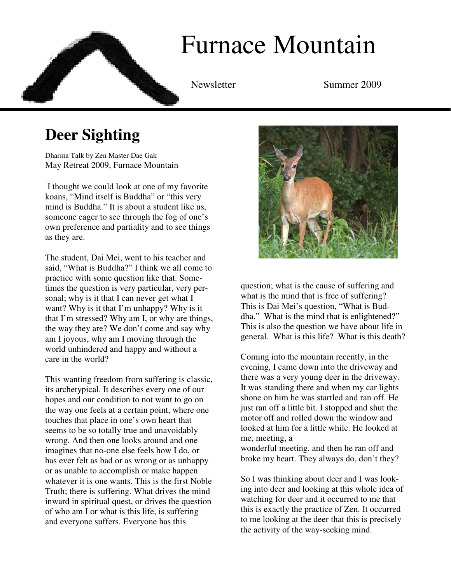

## Furnace Mountain

Newsletter Summer 2009

## **Deer Sighting**

Dharma Talk by Zen Master Dae Gak May Retreat 2009, Furnace Mountain

 I thought we could look at one of my favorite koans, "Mind itself is Buddha" or "this very mind is Buddha." It is about a student like us, someone eager to see through the fog of one's own preference and partiality and to see things as they are.

The student, Dai Mei, went to his teacher and said, "What is Buddha?" I think we all come to practice with some question like that. Sometimes the question is very particular, very personal; why is it that I can never get what I want? Why is it that I'm unhappy? Why is it that I'm stressed? Why am I, or why are things, the way they are? We don't come and say why am I joyous, why am I moving through the world unhindered and happy and without a care in the world?

This wanting freedom from suffering is classic, its archetypical. It describes every one of our hopes and our condition to not want to go on the way one feels at a certain point, where one touches that place in one's own heart that seems to be so totally true and unavoidably wrong. And then one looks around and one imagines that no-one else feels how I do, or has ever felt as bad or as wrong or as unhappy or as unable to accomplish or make happen whatever it is one wants. This is the first Noble Truth; there is suffering. What drives the mind inward in spiritual quest, or drives the question of who am I or what is this life, is suffering and everyone suffers. Everyone has this



question; what is the cause of suffering and what is the mind that is free of suffering? This is Dai Mei's question, "What is Buddha." What is the mind that is enlightened?" This is also the question we have about life in general. What is this life? What is this death?

Coming into the mountain recently, in the evening, I came down into the driveway and there was a very young deer in the driveway. It was standing there and when my car lights shone on him he was startled and ran off. He just ran off a little bit. I stopped and shut the motor off and rolled down the window and looked at him for a little while. He looked at me, meeting, a

wonderful meeting, and then he ran off and broke my heart. They always do, don't they?

So I was thinking about deer and I was looking into deer and looking at this whole idea of watching for deer and it occurred to me that this is exactly the practice of Zen. It occurred to me looking at the deer that this is precisely the activity of the way-seeking mind.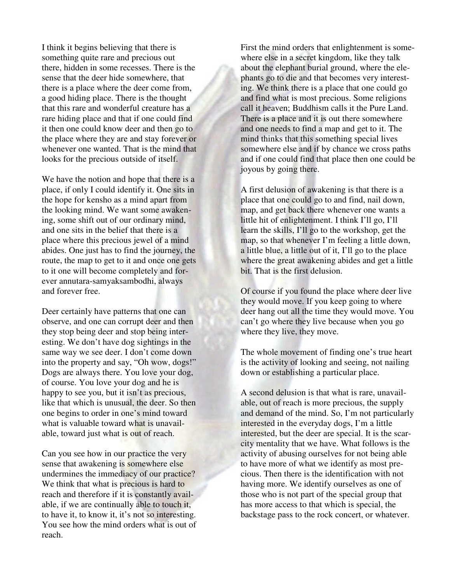I think it begins believing that there is something quite rare and precious out there, hidden in some recesses. There is the sense that the deer hide somewhere, that there is a place where the deer come from, a good hiding place. There is the thought that this rare and wonderful creature has a rare hiding place and that if one could find it then one could know deer and then go to the place where they are and stay forever or whenever one wanted. That is the mind that looks for the precious outside of itself.

We have the notion and hope that there is a place, if only I could identify it. One sits in the hope for kensho as a mind apart from the looking mind. We want some awakening, some shift out of our ordinary mind, and one sits in the belief that there is a place where this precious jewel of a mind abides. One just has to find the journey, the route, the map to get to it and once one gets to it one will become completely and forever annutara-samyaksambodhi, always and forever free.

Deer certainly have patterns that one can observe, and one can corrupt deer and then they stop being deer and stop being interesting. We don't have dog sightings in the same way we see deer. I don't come down into the property and say, "Oh wow, dogs!" Dogs are always there. You love your dog, of course. You love your dog and he is happy to see you, but it isn't as precious, like that which is unusual, the deer. So then one begins to order in one's mind toward what is valuable toward what is unavailable, toward just what is out of reach.

Can you see how in our practice the very sense that awakening is somewhere else undermines the immediacy of our practice? We think that what is precious is hard to reach and therefore if it is constantly available, if we are continually able to touch it, to have it, to know it, it's not so interesting. You see how the mind orders what is out of reach.

First the mind orders that enlightenment is somewhere else in a secret kingdom, like they talk about the elephant burial ground, where the elephants go to die and that becomes very interesting. We think there is a place that one could go and find what is most precious. Some religions call it heaven; Buddhism calls it the Pure Land. There is a place and it is out there somewhere and one needs to find a map and get to it. The mind thinks that this something special lives somewhere else and if by chance we cross paths and if one could find that place then one could be joyous by going there.

A first delusion of awakening is that there is a place that one could go to and find, nail down, map, and get back there whenever one wants a little hit of enlightenment. I think I'll go, I'll learn the skills, I'll go to the workshop, get the map, so that whenever I'm feeling a little down, a little blue, a little out of it, I'll go to the place where the great awakening abides and get a little bit. That is the first delusion.

Of course if you found the place where deer live they would move. If you keep going to where deer hang out all the time they would move. You can't go where they live because when you go where they live, they move.

The whole movement of finding one's true heart is the activity of looking and seeing, not nailing down or establishing a particular place.

A second delusion is that what is rare, unavailable, out of reach is more precious, the supply and demand of the mind. So, I'm not particularly interested in the everyday dogs, I'm a little interested, but the deer are special. It is the scarcity mentality that we have. What follows is the activity of abusing ourselves for not being able to have more of what we identify as most precious. Then there is the identification with not having more. We identify ourselves as one of those who is not part of the special group that has more access to that which is special, the backstage pass to the rock concert, or whatever.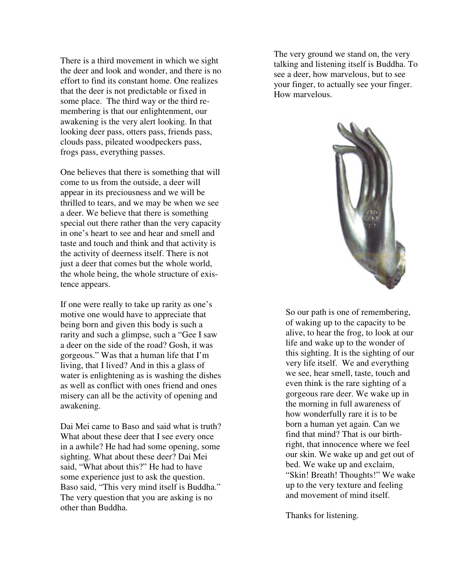There is a third movement in which we sight the deer and look and wonder, and there is no effort to find its constant home. One realizes that the deer is not predictable or fixed in some place. The third way or the third remembering is that our enlightenment, our awakening is the very alert looking. In that looking deer pass, otters pass, friends pass, clouds pass, pileated woodpeckers pass, frogs pass, everything passes.

One believes that there is something that will come to us from the outside, a deer will appear in its preciousness and we will be thrilled to tears, and we may be when we see a deer. We believe that there is something special out there rather than the very capacity in one's heart to see and hear and smell and taste and touch and think and that activity is the activity of deerness itself. There is not just a deer that comes but the whole world, the whole being, the whole structure of existence appears.

If one were really to take up rarity as one's motive one would have to appreciate that being born and given this body is such a rarity and such a glimpse, such a "Gee I saw a deer on the side of the road? Gosh, it was gorgeous." Was that a human life that I'm living, that I lived? And in this a glass of water is enlightening as is washing the dishes as well as conflict with ones friend and ones misery can all be the activity of opening and awakening.

Dai Mei came to Baso and said what is truth? What about these deer that I see every once in a awhile? He had had some opening, some sighting. What about these deer? Dai Mei said, "What about this?" He had to have some experience just to ask the question. Baso said, "This very mind itself is Buddha." The very question that you are asking is no other than Buddha.

The very ground we stand on, the very talking and listening itself is Buddha. To see a deer, how marvelous, but to see your finger, to actually see your finger. How marvelous.



So our path is one of remembering, of waking up to the capacity to be alive, to hear the frog, to look at our life and wake up to the wonder of this sighting. It is the sighting of our very life itself. We and everything we see, hear smell, taste, touch and even think is the rare sighting of a gorgeous rare deer. We wake up in the morning in full awareness of how wonderfully rare it is to be born a human yet again. Can we find that mind? That is our birthright, that innocence where we feel our skin. We wake up and get out of bed. We wake up and exclaim, "Skin! Breath! Thoughts!" We wake up to the very texture and feeling and movement of mind itself.

Thanks for listening.